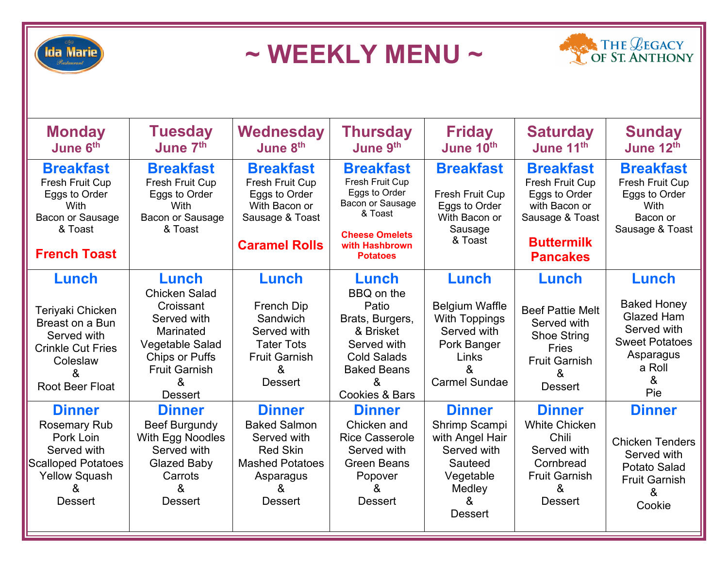

**~ WEEKLY MENU ~**



| <b>Monday</b><br>June 6th                                                                                                                    | <b>Tuesday</b><br>June 7th                                                                                                                                        | Wednesday<br>June 8 <sup>th</sup>                                                                                                    | <b>Thursday</b><br>June 9th                                                                                                                               | <b>Friday</b><br>June 10th                                                                                                 | <b>Saturday</b><br>June 11th                                                                                                            | <b>Sunday</b><br>June 12th                                                                                                  |
|----------------------------------------------------------------------------------------------------------------------------------------------|-------------------------------------------------------------------------------------------------------------------------------------------------------------------|--------------------------------------------------------------------------------------------------------------------------------------|-----------------------------------------------------------------------------------------------------------------------------------------------------------|----------------------------------------------------------------------------------------------------------------------------|-----------------------------------------------------------------------------------------------------------------------------------------|-----------------------------------------------------------------------------------------------------------------------------|
| <b>Breakfast</b><br>Fresh Fruit Cup<br>Eggs to Order<br>With<br>Bacon or Sausage<br>& Toast<br><b>French Toast</b>                           | <b>Breakfast</b><br><b>Fresh Fruit Cup</b><br>Eggs to Order<br><b>With</b><br>Bacon or Sausage<br>& Toast                                                         | <b>Breakfast</b><br>Fresh Fruit Cup<br>Eggs to Order<br>With Bacon or<br>Sausage & Toast<br><b>Caramel Rolls</b>                     | <b>Breakfast</b><br>Fresh Fruit Cup<br>Eggs to Order<br>Bacon or Sausage<br>& Toast<br><b>Cheese Omelets</b><br>with Hashbrown<br><b>Potatoes</b>         | <b>Breakfast</b><br>Fresh Fruit Cup<br>Eggs to Order<br>With Bacon or<br>Sausage<br>& Toast                                | <b>Breakfast</b><br><b>Fresh Fruit Cup</b><br>Eggs to Order<br>with Bacon or<br>Sausage & Toast<br><b>Buttermilk</b><br><b>Pancakes</b> | <b>Breakfast</b><br><b>Fresh Fruit Cup</b><br>Eggs to Order<br><b>With</b><br>Bacon or<br>Sausage & Toast                   |
| Lunch<br>Teriyaki Chicken<br>Breast on a Bun<br>Served with<br><b>Crinkle Cut Fries</b><br>Coleslaw<br>&<br><b>Root Beer Float</b>           | Lunch<br><b>Chicken Salad</b><br>Croissant<br>Served with<br>Marinated<br>Vegetable Salad<br><b>Chips or Puffs</b><br><b>Fruit Garnish</b><br>&<br><b>Dessert</b> | Lunch<br><b>French Dip</b><br>Sandwich<br>Served with<br><b>Tater Tots</b><br><b>Fruit Garnish</b><br>&<br><b>Dessert</b>            | Lunch<br>BBQ on the<br>Patio<br>Brats, Burgers,<br>& Brisket<br>Served with<br><b>Cold Salads</b><br><b>Baked Beans</b><br>&<br><b>Cookies &amp; Bars</b> | Lunch<br><b>Belgium Waffle</b><br><b>With Toppings</b><br>Served with<br>Pork Banger<br>Links<br>&<br><b>Carmel Sundae</b> | Lunch<br><b>Beef Pattie Melt</b><br>Served with<br><b>Shoe String</b><br><b>Fries</b><br><b>Fruit Garnish</b><br>&<br><b>Dessert</b>    | Lunch<br><b>Baked Honey</b><br><b>Glazed Ham</b><br>Served with<br><b>Sweet Potatoes</b><br>Asparagus<br>a Roll<br>&<br>Pie |
| <b>Dinner</b><br><b>Rosemary Rub</b><br>Pork Loin<br>Served with<br><b>Scalloped Potatoes</b><br><b>Yellow Squash</b><br>&<br><b>Dessert</b> | <b>Dinner</b><br><b>Beef Burgundy</b><br>With Egg Noodles<br>Served with<br><b>Glazed Baby</b><br>Carrots<br>&<br><b>Dessert</b>                                  | <b>Dinner</b><br><b>Baked Salmon</b><br>Served with<br><b>Red Skin</b><br><b>Mashed Potatoes</b><br>Asparagus<br>&<br><b>Dessert</b> | <b>Dinner</b><br>Chicken and<br><b>Rice Casserole</b><br>Served with<br><b>Green Beans</b><br>Popover<br>&<br><b>Dessert</b>                              | <b>Dinner</b><br>Shrimp Scampi<br>with Angel Hair<br>Served with<br>Sauteed<br>Vegetable<br>Medley<br>&<br><b>Dessert</b>  | <b>Dinner</b><br><b>White Chicken</b><br>Chili<br>Served with<br>Cornbread<br><b>Fruit Garnish</b><br>&<br><b>Dessert</b>               | <b>Dinner</b><br><b>Chicken Tenders</b><br>Served with<br>Potato Salad<br><b>Fruit Garnish</b><br>&<br>Cookie               |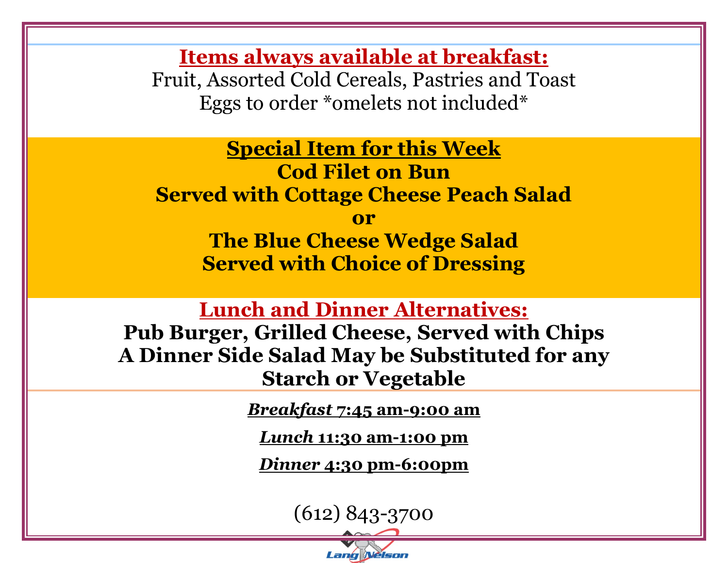**Items always available at breakfast:** Fruit, Assorted Cold Cereals, Pastries and Toast Eggs to order \*omelets not included\*

**Special Item for this Week Cod Filet on Bun Served with Cottage Cheese Peach Salad**

**or** 

**The Blue Cheese Wedge Salad Served with Choice of Dressing**

**Lunch and Dinner Alternatives:**

**Pub Burger, Grilled Cheese, Served with Chips A Dinner Side Salad May be Substituted for any Starch or Vegetable** 

*Breakfast* **7:45 am-9:00 am**

*Lunch* **11:30 am-1:00 pm**

*Dinner* **4:30 pm-6:00pm**

(612) 843-3700

Lang **Nelson**